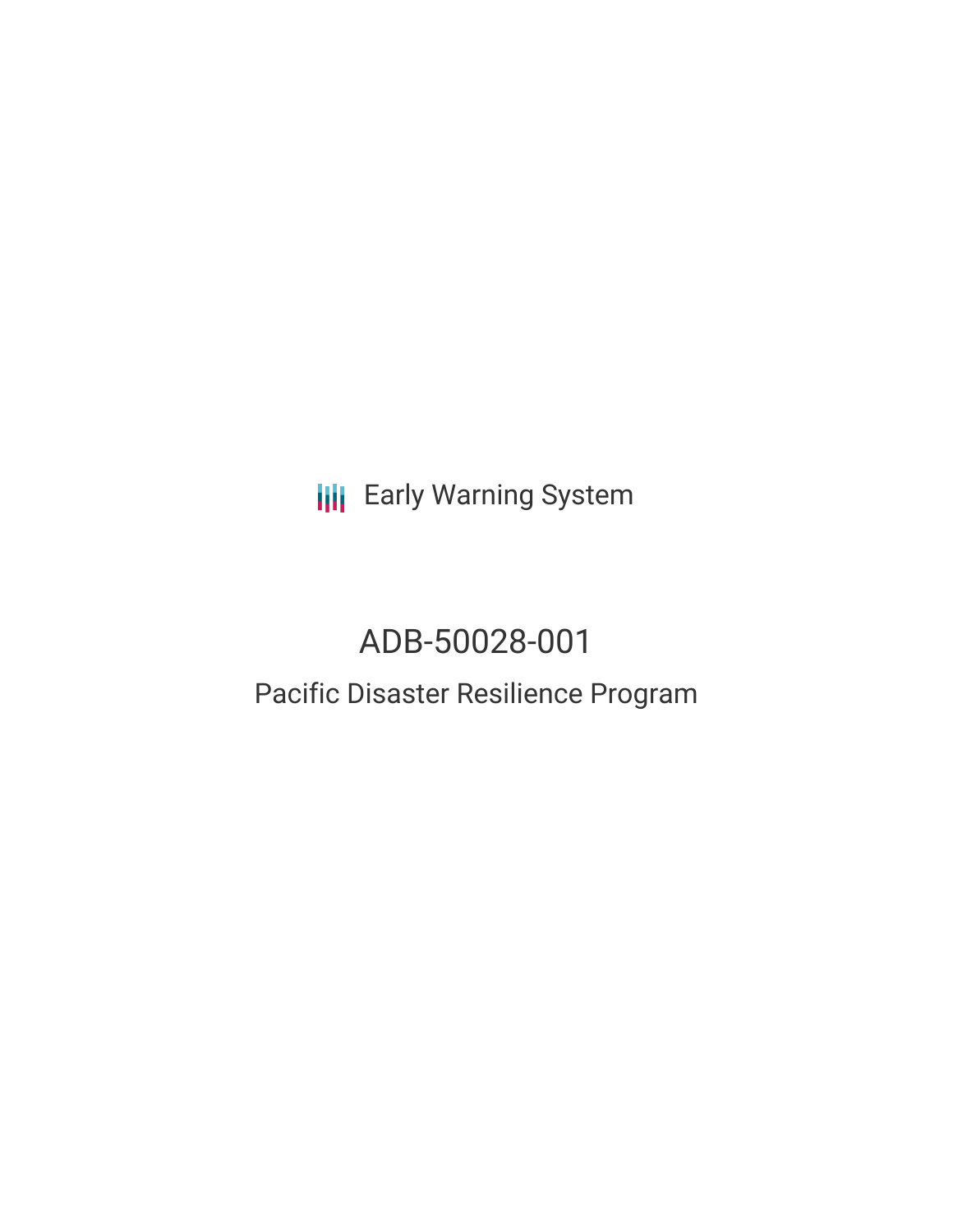**III** Early Warning System

# ADB-50028-001

## Pacific Disaster Resilience Program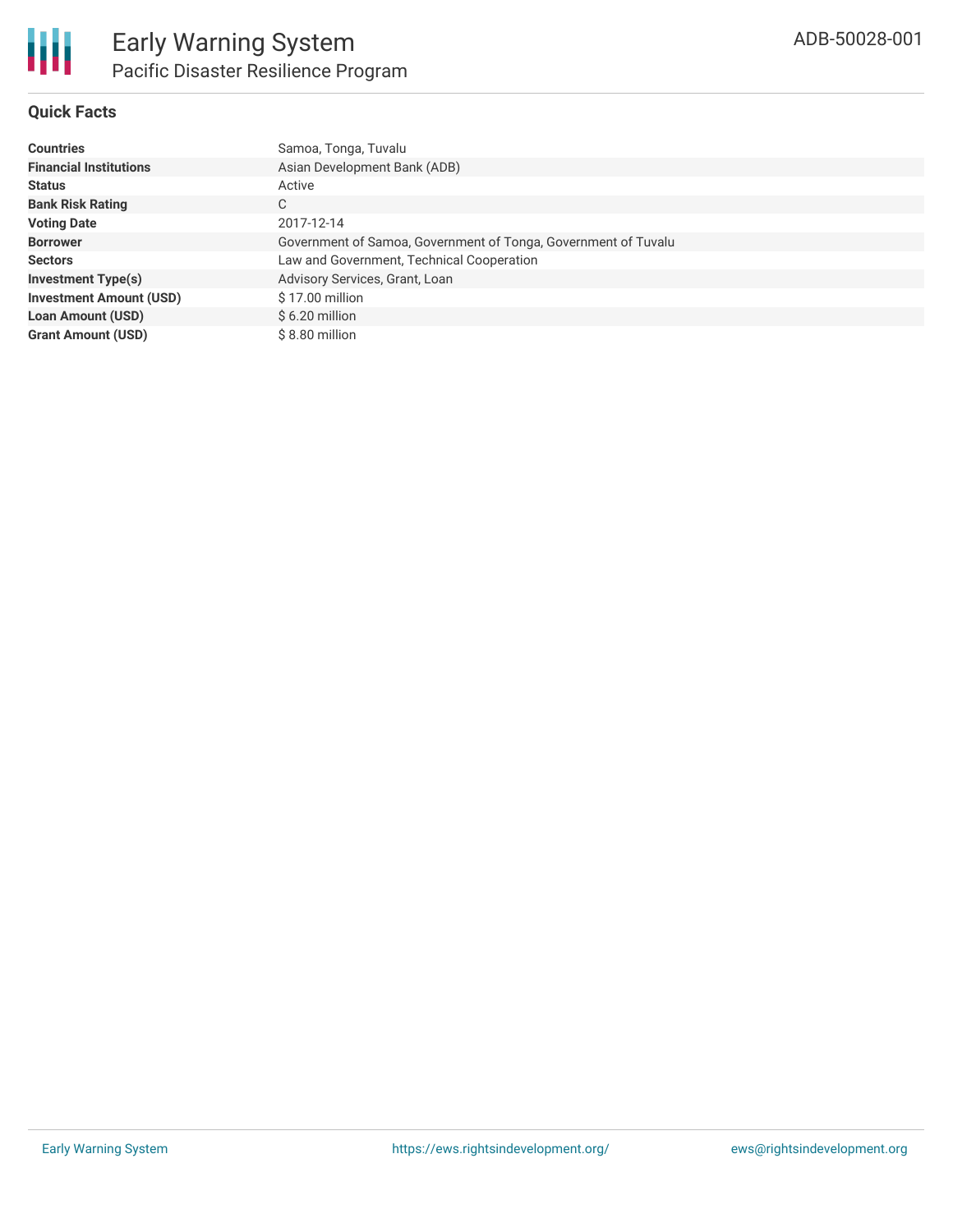

#### **Quick Facts**

| <b>Countries</b>               | Samoa, Tonga, Tuvalu                                           |
|--------------------------------|----------------------------------------------------------------|
| <b>Financial Institutions</b>  | Asian Development Bank (ADB)                                   |
| <b>Status</b>                  | Active                                                         |
| <b>Bank Risk Rating</b>        | C                                                              |
| <b>Voting Date</b>             | 2017-12-14                                                     |
| <b>Borrower</b>                | Government of Samoa, Government of Tonga, Government of Tuvalu |
| <b>Sectors</b>                 | Law and Government, Technical Cooperation                      |
| <b>Investment Type(s)</b>      | Advisory Services, Grant, Loan                                 |
| <b>Investment Amount (USD)</b> | \$17.00 million                                                |
| <b>Loan Amount (USD)</b>       | $$6.20$ million                                                |
| <b>Grant Amount (USD)</b>      | \$8.80 million                                                 |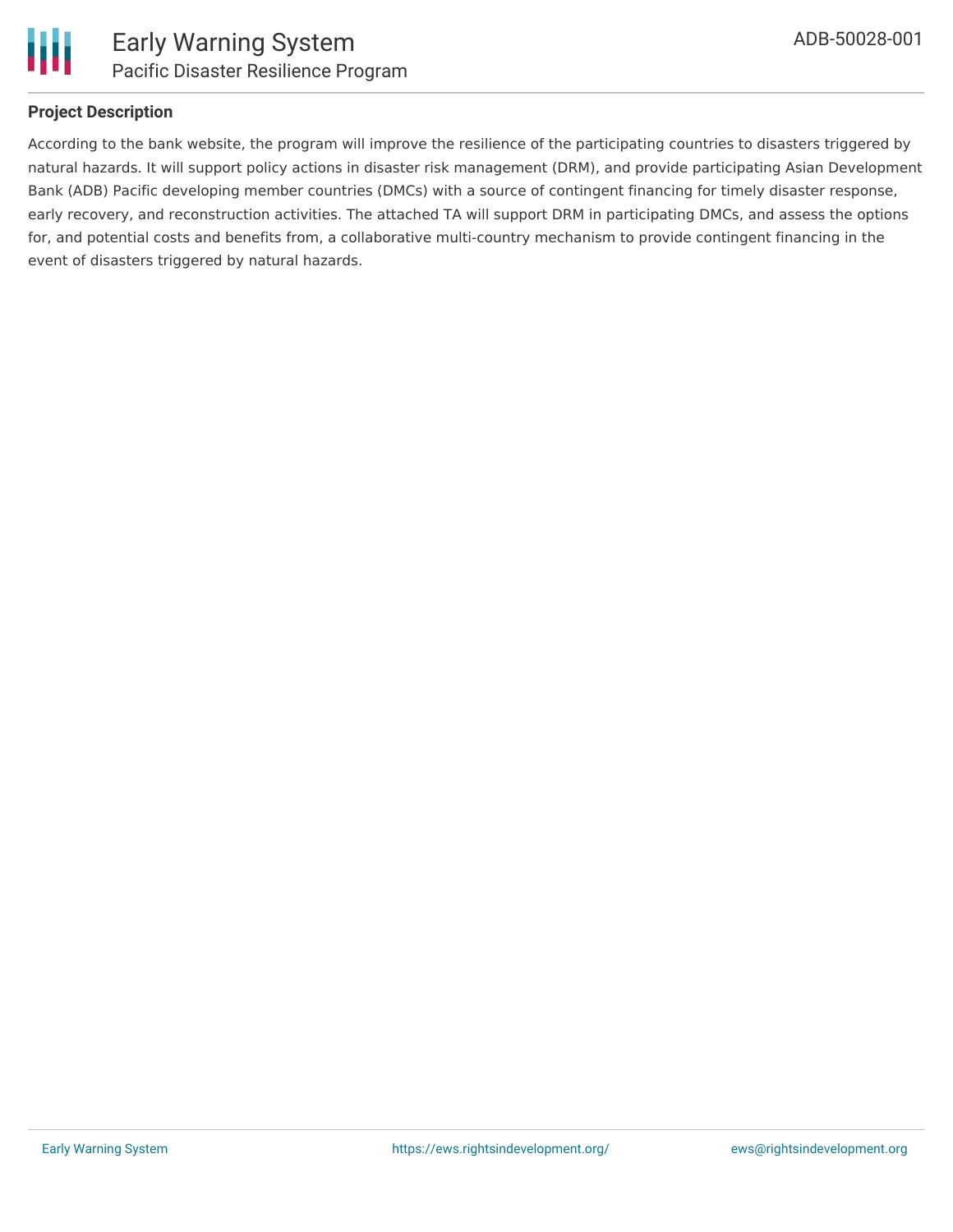

### **Project Description**

According to the bank website, the program will improve the resilience of the participating countries to disasters triggered by natural hazards. It will support policy actions in disaster risk management (DRM), and provide participating Asian Development Bank (ADB) Pacific developing member countries (DMCs) with a source of contingent financing for timely disaster response, early recovery, and reconstruction activities. The attached TA will support DRM in participating DMCs, and assess the options for, and potential costs and benefits from, a collaborative multi-country mechanism to provide contingent financing in the event of disasters triggered by natural hazards.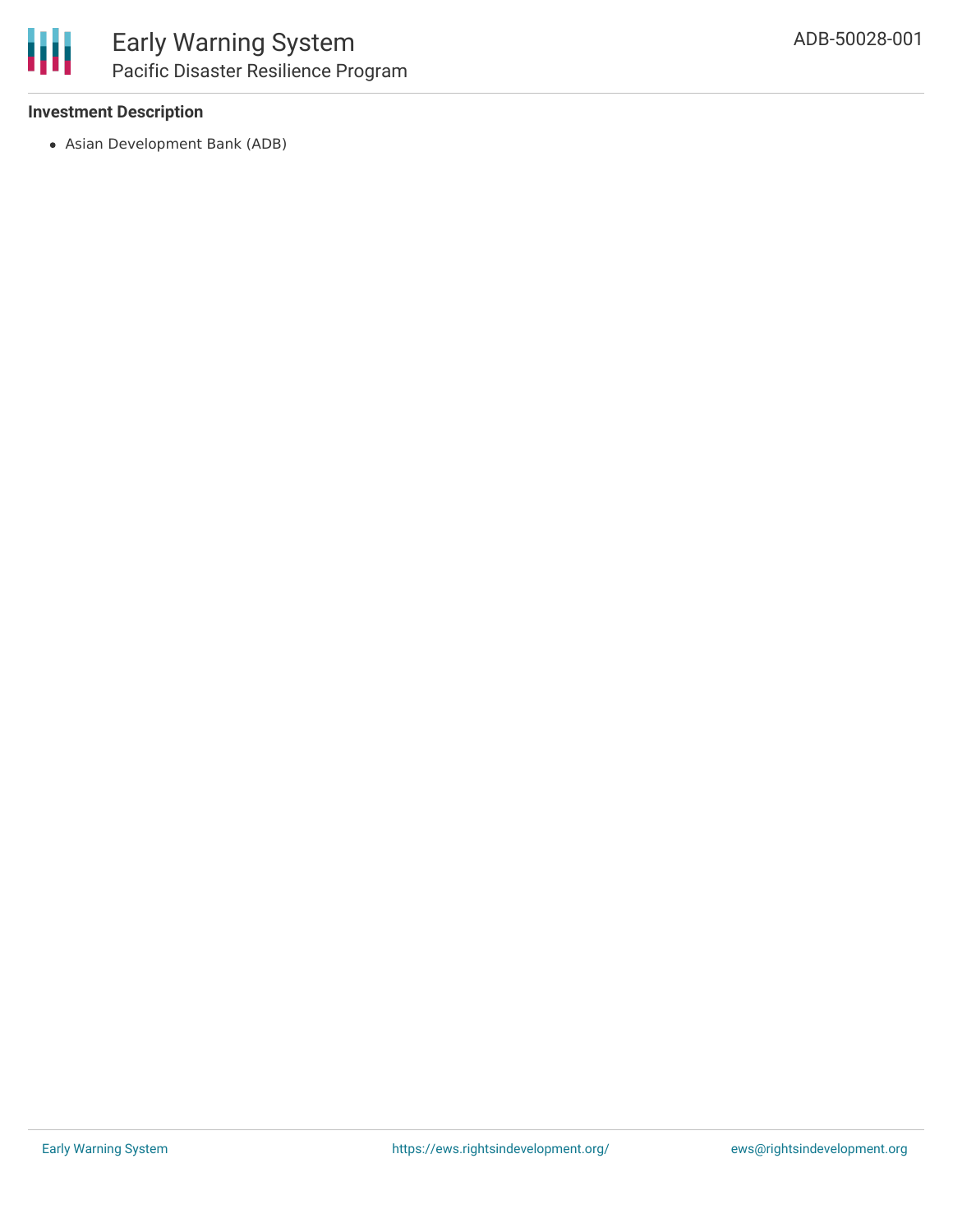#### **Investment Description**

Asian Development Bank (ADB)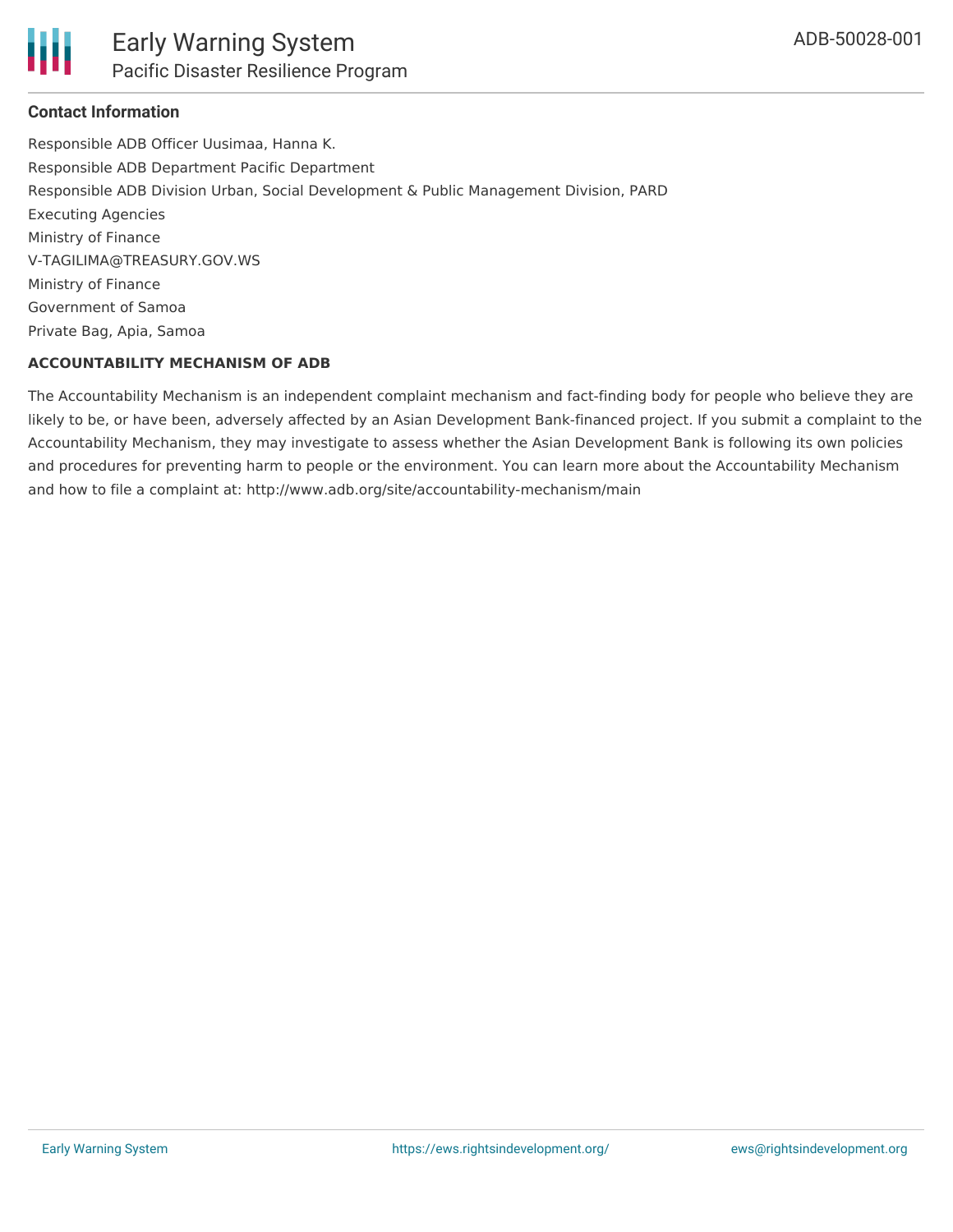

### **Contact Information**

Responsible ADB Officer Uusimaa, Hanna K. Responsible ADB Department Pacific Department Responsible ADB Division Urban, Social Development & Public Management Division, PARD Executing Agencies Ministry of Finance V-TAGILIMA@TREASURY.GOV.WS Ministry of Finance Government of Samoa Private Bag, Apia, Samoa

### **ACCOUNTABILITY MECHANISM OF ADB**

The Accountability Mechanism is an independent complaint mechanism and fact-finding body for people who believe they are likely to be, or have been, adversely affected by an Asian Development Bank-financed project. If you submit a complaint to the Accountability Mechanism, they may investigate to assess whether the Asian Development Bank is following its own policies and procedures for preventing harm to people or the environment. You can learn more about the Accountability Mechanism and how to file a complaint at: http://www.adb.org/site/accountability-mechanism/main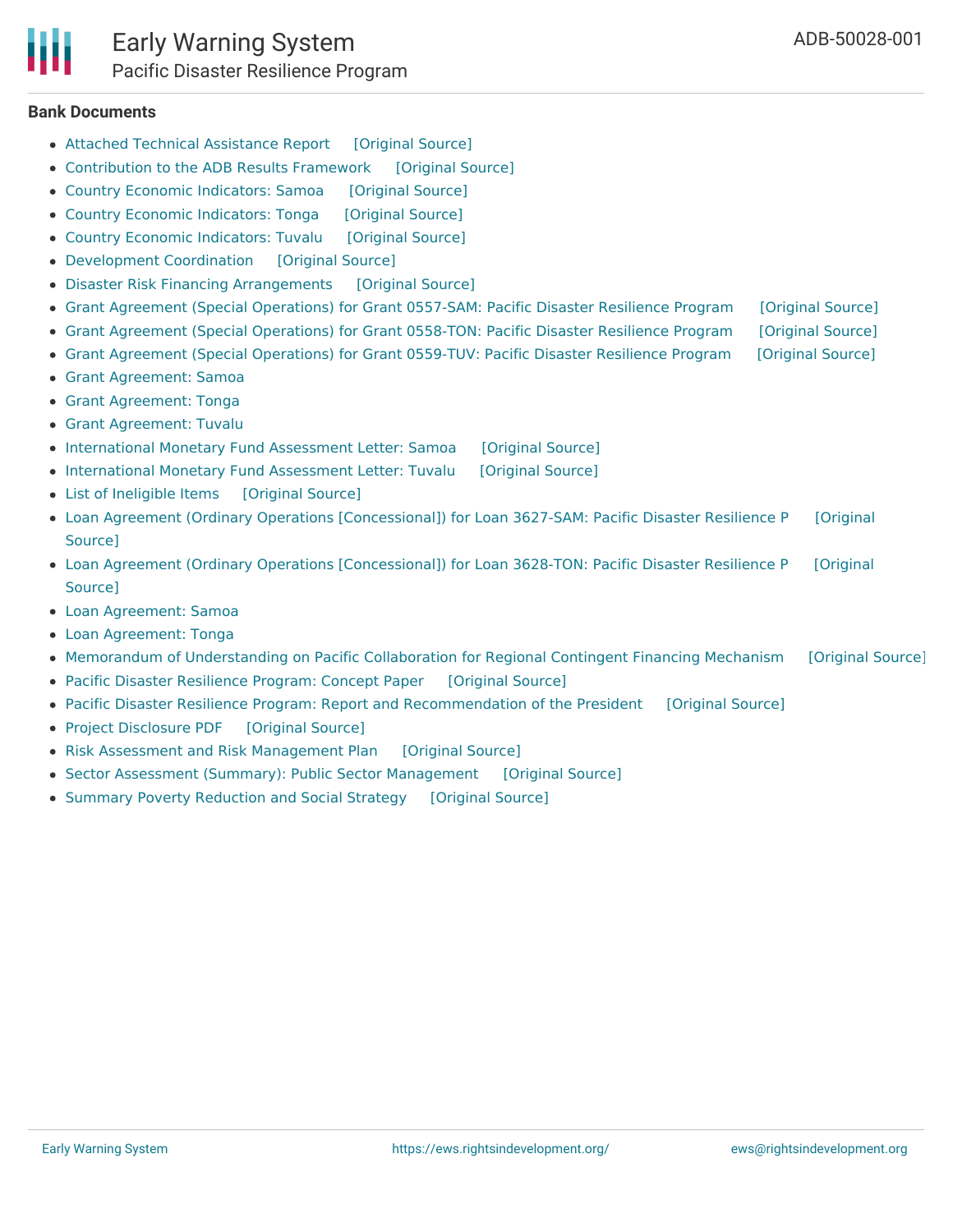#### **Bank Documents**

- Attached Technical [Assistance](https://ewsdata.rightsindevelopment.org/files/documents/01/ADB-50028-001_Kjksfzt.pdf) Report [\[Original](https://www.adb.org/projects/documents/reg-50028-001-rrp) Source]
- [Contribution](https://ewsdata.rightsindevelopment.org/files/documents/01/ADB-50028-001_Ng3qGk0.pdf) to the ADB Results Framework [\[Original](https://www.adb.org/projects/documents/reg-50028-001-rrp) Source]
- Country Economic [Indicators:](https://ewsdata.rightsindevelopment.org/files/documents/01/ADB-50028-001_0fwPIwx.pdf) Samoa [\[Original](https://www.adb.org/projects/documents/reg-50028-001-rrp) Source]
- Country Economic [Indicators:](https://ewsdata.rightsindevelopment.org/files/documents/01/ADB-50028-001_TnGaXGq.pdf) Tonga [\[Original](https://www.adb.org/projects/documents/reg-50028-001-rrp) Source]
- Country Economic [Indicators:](https://ewsdata.rightsindevelopment.org/files/documents/01/ADB-50028-001_2v1rziR.pdf) Tuvalu [\[Original](https://www.adb.org/projects/documents/reg-50028-001-rrp) Source]
- [Development](https://ewsdata.rightsindevelopment.org/files/documents/01/ADB-50028-001_5ZkBdW5.pdf) Coordination [\[Original](https://www.adb.org/projects/documents/reg-50028-001-rrp) Source]
- Disaster Risk Financing [Arrangements](https://ewsdata.rightsindevelopment.org/files/documents/01/ADB-50028-001_3apDi3d.pdf) [\[Original](https://www.adb.org/projects/documents/reg-50028-001-rrp) Source]
- Grant Agreement (Special [Operations\)](https://ewsdata.rightsindevelopment.org/files/documents/01/ADB-50028-001_5y1t2T0.pdf) for Grant 0557-SAM: Pacific Disaster Resilience Program [\[Original](https://www.adb.org/projects/documents/reg-50028-001-grj-1) Source]
- Grant Agreement (Special [Operations\)](https://ewsdata.rightsindevelopment.org/files/documents/01/ADB-50028-001_BWlyp7H.pdf) for Grant 0558-TON: Pacific Disaster Resilience Program [\[Original](https://www.adb.org/projects/documents/reg-50028-001-grj) Source]
- Grant Agreement (Special [Operations\)](https://ewsdata.rightsindevelopment.org/files/documents/01/ADB-50028-001_cSDZP8k.pdf) for Grant 0559-TUV: Pacific Disaster Resilience Program [\[Original](https://www.adb.org/projects/documents/reg-50028-001-grj-0) Source]
- Grant [Agreement:](https://www.adb.org/projects/documents/reg-50028-001-rrp) Samoa
- Grant [Agreement:](https://www.adb.org/projects/documents/reg-50028-001-rrp) Tonga
- Grant [Agreement:](https://www.adb.org/projects/documents/reg-50028-001-rrp) Tuvalu
- [International](https://ewsdata.rightsindevelopment.org/files/documents/01/ADB-50028-001_3EQgxFC.pdf) Monetary Fund Assessment Letter: Samoa [\[Original](https://www.adb.org/projects/documents/reg-50028-001-rrp) Source]
- [International](https://ewsdata.rightsindevelopment.org/files/documents/01/ADB-50028-001_Tid7jIP.pdf) Monetary Fund Assessment Letter: Tuvalu [\[Original](https://www.adb.org/projects/documents/reg-50028-001-rrp) Source]
- List of [Ineligible](https://ewsdata.rightsindevelopment.org/files/documents/01/ADB-50028-001_p3iPdRL.pdf) Items [\[Original](https://www.adb.org/projects/documents/reg-50028-001-rrp) Source]
- Loan Agreement (Ordinary Operations [\[Concessional\]\)](https://ewsdata.rightsindevelopment.org/files/documents/01/ADB-50028-001_bTyIEXg.pdf) for Loan 3627-SAM: Pacific Disaster Resilience P [Original Source]
- Loan Agreement (Ordinary Operations [\[Concessional\]\)](https://ewsdata.rightsindevelopment.org/files/documents/01/ADB-50028-001_BThl7kF.pdf) for Loan 3628-TON: Pacific Disaster Resilience P [Original Source]
- Loan [Agreement:](https://www.adb.org/projects/documents/reg-50028-001-rrp) Samoa
- Loan [Agreement:](https://www.adb.org/projects/documents/reg-50028-001-rrp) Tonga
- Memorandum of [Understanding](https://ewsdata.rightsindevelopment.org/files/documents/01/ADB-50028-001_3nzLSpt.pdf) on Pacific Collaboration for Regional Contingent Financing Mechanism [\[Original](https://www.adb.org/projects/documents/reg-50028-001-rrp) Source]
- Pacific Disaster [Resilience](https://ewsdata.rightsindevelopment.org/files/documents/01/ADB-50028-001_ycq5Iei.pdf) Program: Concept Paper [\[Original](https://www.adb.org/projects/documents/reg-50028-001-cp) Source]
- Pacific Disaster Resilience Program: Report and [Recommendation](https://ewsdata.rightsindevelopment.org/files/documents/01/ADB-50028-001_KS5vCt0.pdf) of the President [\[Original](https://www.adb.org/projects/documents/reg-50028-001-rrp) Source]
- Project [Disclosure](https://ewsdata.rightsindevelopment.org/files/documents/01/ADB-50028-001.pdf) PDF [\[Original](https://www.adb.org/printpdf/projects/50028-001/main) Source]
- Risk Assessment and Risk [Management](https://ewsdata.rightsindevelopment.org/files/documents/01/ADB-50028-001_Zih9tF1.pdf) Plan [\[Original](https://www.adb.org/projects/documents/reg-50028-001-rrp) Source]
- Sector Assessment (Summary): Public Sector [Management](https://ewsdata.rightsindevelopment.org/files/documents/01/ADB-50028-001_m7BK2QP.pdf) [\[Original](https://www.adb.org/projects/documents/reg-50028-001-rrp) Source]
- Summary Poverty [Reduction](https://ewsdata.rightsindevelopment.org/files/documents/01/ADB-50028-001_rLIysgm.pdf) and Social Strategy [\[Original](https://www.adb.org/projects/documents/reg-50028-001-rrp) Source]